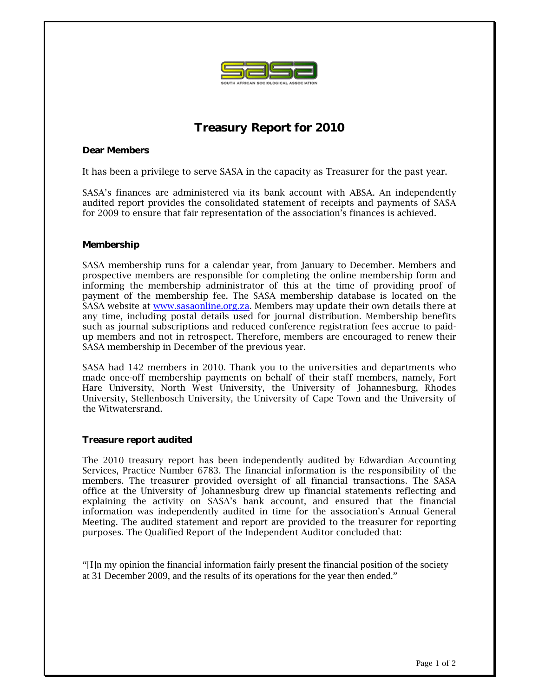

# **Treasury Report for 2010**

## **Dear Members**

It has been a privilege to serve SASA in the capacity as Treasurer for the past year.

SASA's finances are administered via its bank account with ABSA. An independently audited report provides the consolidated statement of receipts and payments of SASA for 2009 to ensure that fair representation of the association's finances is achieved.

## **Membership**

SASA membership runs for a calendar year, from January to December. Members and prospective members are responsible for completing the online membership form and informing the membership administrator of this at the time of providing proof of payment of the membership fee. The SASA membership database is located on the SASA website at www.sasaonline.org.za. Members may update their own details there at any time, including postal details used for journal distribution. Membership benefits such as journal subscriptions and reduced conference registration fees accrue to paidup members and not in retrospect. Therefore, members are encouraged to renew their SASA membership in December of the previous year.

SASA had 142 members in 2010. Thank you to the universities and departments who made once-off membership payments on behalf of their staff members, namely, Fort Hare University, North West University, the University of Johannesburg, Rhodes University, Stellenbosch University, the University of Cape Town and the University of the Witwatersrand.

#### **Treasure report audited**

The 2010 treasury report has been independently audited by Edwardian Accounting Services, Practice Number 6783. The financial information is the responsibility of the members. The treasurer provided oversight of all financial transactions. The SASA office at the University of Johannesburg drew up financial statements reflecting and explaining the activity on SASA's bank account, and ensured that the financial information was independently audited in time for the association's Annual General Meeting. The audited statement and report are provided to the treasurer for reporting purposes. The Qualified Report of the Independent Auditor concluded that:

"[I]n my opinion the financial information fairly present the financial position of the society at 31 December 2009, and the results of its operations for the year then ended."